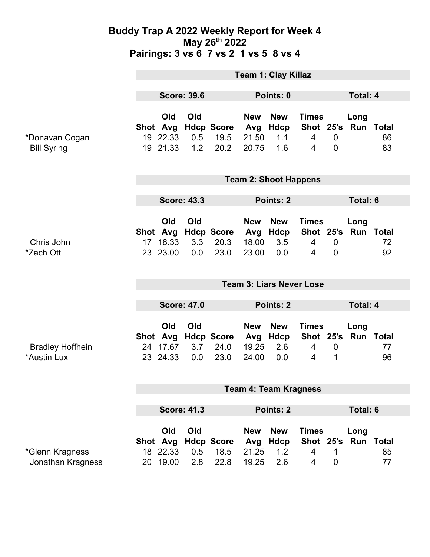### **Buddy Trap A 2022 Weekly Report for Week 4 May 26th 2022 Pairings: 3 vs 6 7 vs 2 1 vs 5 8 vs 4**

|                                        | <b>Team 1: Clay Killaz</b>      |                                         |                   |                                   |                                     |                                  |                                                  |                               |                             |          |
|----------------------------------------|---------------------------------|-----------------------------------------|-------------------|-----------------------------------|-------------------------------------|----------------------------------|--------------------------------------------------|-------------------------------|-----------------------------|----------|
|                                        | <b>Score: 39.6</b>              |                                         |                   | Points: 0                         |                                     |                                  |                                                  | <b>Total: 4</b>               |                             |          |
| *Donavan Cogan<br><b>Bill Syring</b>   |                                 | Old<br>Shot Avg<br>19 22.33<br>19 21.33 | Old<br>0.5<br>1.2 | <b>Hdcp Score</b><br>19.5<br>20.2 | <b>New</b><br>Avg<br>21.50<br>20.75 | <b>New</b><br>Hdcp<br>1.1<br>1.6 | <b>Times</b><br>4<br>$\overline{4}$              | $\mathbf 0$<br>$\overline{0}$ | Long<br>Shot 25's Run Total | 86<br>83 |
|                                        | <b>Team 2: Shoot Happens</b>    |                                         |                   |                                   |                                     |                                  |                                                  |                               |                             |          |
|                                        | <b>Score: 43.3</b>              |                                         |                   | Points: 2                         |                                     |                                  |                                                  | <b>Total: 6</b>               |                             |          |
| Chris John<br>*Zach Ott                | 17 <sup>2</sup>                 | Old<br>Shot Avg<br>18.33<br>23 23.00    | Old<br>3.3<br>0.0 | <b>Hdcp Score</b><br>20.3<br>23.0 | <b>New</b><br>Avg<br>18.00<br>23.00 | <b>New</b><br>Hdcp<br>3.5<br>0.0 | <b>Times</b><br>$\overline{4}$<br>$\overline{4}$ | $\mathbf 0$<br>$\overline{0}$ | Long<br>Shot 25's Run Total | 72<br>92 |
|                                        | <b>Team 3: Liars Never Lose</b> |                                         |                   |                                   |                                     |                                  |                                                  |                               |                             |          |
|                                        | <b>Score: 47.0</b>              |                                         |                   |                                   | <b>Points: 2</b>                    |                                  |                                                  | <b>Total: 4</b>               |                             |          |
|                                        |                                 | Old                                     | Old               |                                   | <b>New</b>                          | <b>New</b>                       | <b>Times</b>                                     |                               | Long                        |          |
| <b>Bradley Hoffhein</b><br>*Austin Lux |                                 | Shot Avg<br>24 17.67<br>23 24.33        | 3.7<br>0.0        | <b>Hdcp Score</b><br>24.0<br>23.0 | Avg<br>19.25<br>24.00               | Hdcp<br>2.6<br>0.0               | $\overline{4}$<br>$\overline{4}$                 | $\mathbf 0$<br>1              | Shot 25's Run Total         | 77<br>96 |
|                                        | <b>Team 4: Team Kragness</b>    |                                         |                   |                                   |                                     |                                  |                                                  |                               |                             |          |
|                                        | <b>Score: 41.3</b>              |                                         |                   | <b>Points: 2</b>                  |                                     |                                  | <b>Total: 6</b>                                  |                               |                             |          |
| *Glenn Kragness<br>Jonathan Kragness   |                                 | Old<br>Shot Avg<br>18 22.33<br>20 19.00 | Old<br>0.5<br>2.8 | <b>Hdcp Score</b><br>18.5<br>22.8 | <b>New</b><br>Avg<br>21.25<br>19.25 | <b>New</b><br>Hdcp<br>1.2<br>2.6 | <b>Times</b><br>4<br>4                           | 1<br>$\boldsymbol{0}$         | Long<br>Shot 25's Run Total | 85<br>77 |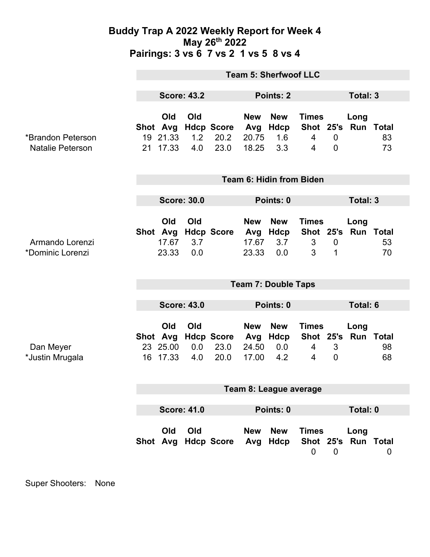### **Buddy Trap A 2022 Weekly Report for Week 4 May 26th 2022 Pairings: 3 vs 6 7 vs 2 1 vs 5 8 vs 4**

|                                              | <b>Team 5: Sherfwoof LLC</b> |                                   |                   |                                   |                                     |                                  |                                                  |                            |                             |          |  |
|----------------------------------------------|------------------------------|-----------------------------------|-------------------|-----------------------------------|-------------------------------------|----------------------------------|--------------------------------------------------|----------------------------|-----------------------------|----------|--|
|                                              | <b>Score: 43.2</b>           |                                   |                   |                                   | <b>Points: 2</b>                    |                                  |                                                  | <b>Total: 3</b>            |                             |          |  |
| *Brandon Peterson<br><b>Natalie Peterson</b> | Shot Avg                     | Old<br>19 21.33<br>21 17.33       | Old<br>1.2<br>4.0 | <b>Hdcp Score</b><br>20.2<br>23.0 | <b>New</b><br>Avg<br>20.75<br>18.25 | <b>New</b><br>Hdcp<br>1.6<br>3.3 | <b>Times</b><br>$\overline{4}$<br>$\overline{4}$ | $\mathbf 0$<br>$\mathbf 0$ | Long<br>Shot 25's Run Total | 83<br>73 |  |
|                                              | Team 6: Hidin from Biden     |                                   |                   |                                   |                                     |                                  |                                                  |                            |                             |          |  |
|                                              | <b>Score: 30.0</b>           |                                   |                   |                                   | Points: 0                           |                                  |                                                  | <b>Total: 3</b>            |                             |          |  |
| Armando Lorenzi<br>*Dominic Lorenzi          |                              | Old<br>Shot Avg<br>17.67<br>23.33 | Old<br>3.7<br>0.0 | <b>Hdcp Score</b>                 | <b>New</b><br>Avg<br>17.67<br>23.33 | <b>New</b><br>Hdcp<br>3.7<br>0.0 | <b>Times</b><br>Shot 25's<br>3<br>3              | $\mathbf 0$<br>1           | Long<br>Run Total           | 53<br>70 |  |
|                                              | <b>Team 7: Double Taps</b>   |                                   |                   |                                   |                                     |                                  |                                                  |                            |                             |          |  |
|                                              | <b>Score: 43.0</b>           |                                   |                   |                                   | Points: 0                           |                                  |                                                  | <b>Total: 6</b>            |                             |          |  |
| Dan Meyer<br>*Justin Mrugala                 | <b>Shot</b><br>16            | Old<br>Avg<br>23 25.00<br>17.33   | Old<br>0.0<br>4.0 | <b>Hdcp Score</b><br>23.0<br>20.0 | <b>New</b><br>Avg<br>24.50<br>17.00 | <b>New</b><br>Hdcp<br>0.0<br>4.2 | <b>Times</b><br>4<br>4                           | 3<br>$\overline{0}$        | Long<br>Shot 25's Run Total | 98<br>68 |  |
|                                              | Team 8: League average       |                                   |                   |                                   |                                     |                                  |                                                  |                            |                             |          |  |
|                                              |                              |                                   |                   |                                   |                                     |                                  |                                                  |                            |                             |          |  |
|                                              | <b>Score: 41.0</b>           |                                   |                   |                                   | Points: 0                           |                                  |                                                  | Total: 0                   |                             |          |  |
|                                              |                              | Old                               | Old               | Shot Avg Hdcp Score               | <b>New</b><br>Avg                   | <b>New</b><br>Hdcp               | <b>Times</b><br>0                                | $\mathbf 0$                | Long<br>Shot 25's Run Total | 0        |  |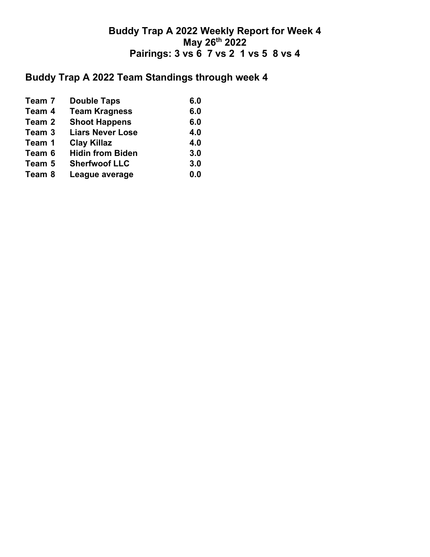## **Buddy Trap A 2022 Weekly Report for Week 4 May 26th 2022 Pairings: 3 vs 6 7 vs 2 1 vs 5 8 vs 4**

# **Buddy Trap A 2022 Team Standings through week 4**

| Team 7 | <b>Double Taps</b>      | 6.0 |
|--------|-------------------------|-----|
| Team 4 | <b>Team Kragness</b>    | 6.0 |
| Team 2 | <b>Shoot Happens</b>    | 6.0 |
| Team 3 | <b>Liars Never Lose</b> | 4.0 |
| Team 1 | <b>Clay Killaz</b>      | 4.0 |
| Team 6 | <b>Hidin from Biden</b> | 3.0 |
| Team 5 | <b>Sherfwoof LLC</b>    | 3.0 |
| Team 8 | League average          | 0.0 |